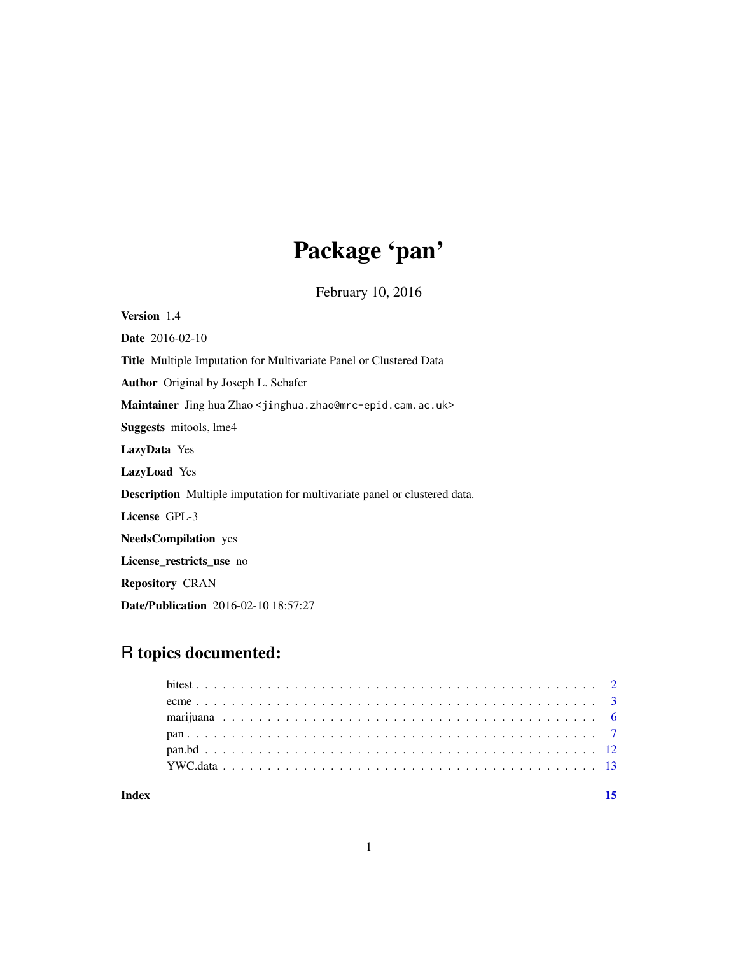# Package 'pan'

February 10, 2016

Version 1.4 Date 2016-02-10 Title Multiple Imputation for Multivariate Panel or Clustered Data Author Original by Joseph L. Schafer Maintainer Jing hua Zhao <jinghua.zhao@mrc-epid.cam.ac.uk> Suggests mitools, lme4 LazyData Yes LazyLoad Yes Description Multiple imputation for multivariate panel or clustered data. License GPL-3 NeedsCompilation yes License\_restricts\_use no Repository CRAN Date/Publication 2016-02-10 18:57:27

# R topics documented:

**Index** [15](#page-14-0)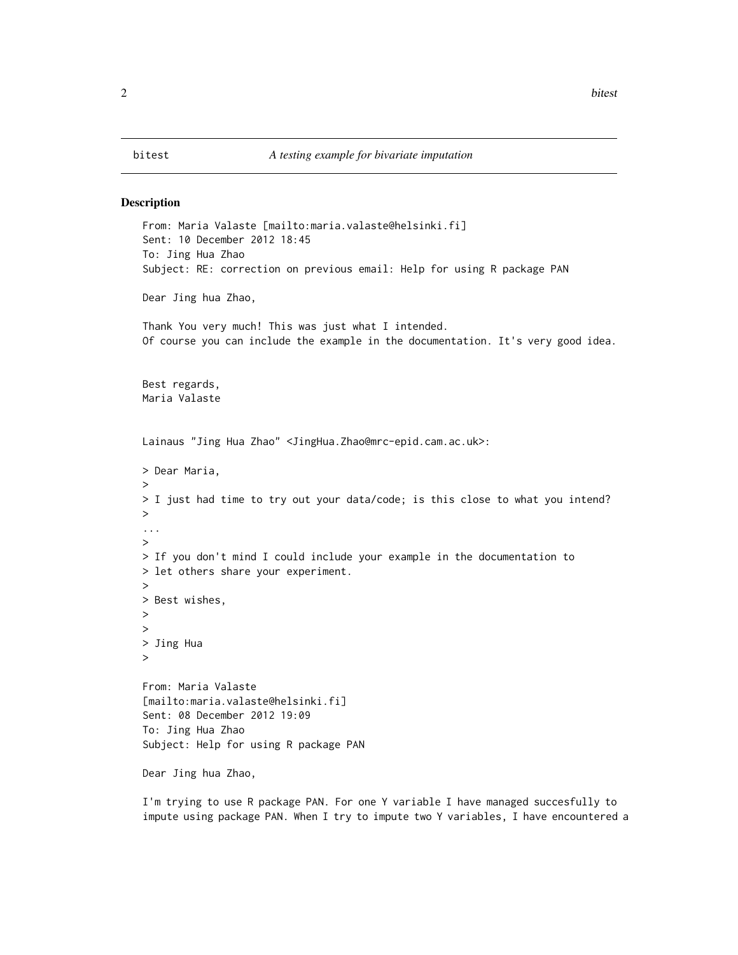<span id="page-1-0"></span>

#### Description

```
From: Maria Valaste [mailto:maria.valaste@helsinki.fi]
Sent: 10 December 2012 18:45
To: Jing Hua Zhao
Subject: RE: correction on previous email: Help for using R package PAN
Dear Jing hua Zhao,
Thank You very much! This was just what I intended.
Of course you can include the example in the documentation. It's very good idea.
Best regards,
Maria Valaste
Lainaus "Jing Hua Zhao" <JingHua.Zhao@mrc-epid.cam.ac.uk>:
> Dear Maria,
>
> I just had time to try out your data/code; is this close to what you intend?
>
...
>
> If you don't mind I could include your example in the documentation to
> let others share your experiment.
>
> Best wishes,
>
>
> Jing Hua
>
From: Maria Valaste
[mailto:maria.valaste@helsinki.fi]
Sent: 08 December 2012 19:09
To: Jing Hua Zhao
Subject: Help for using R package PAN
Dear Jing hua Zhao,
```
I'm trying to use R package PAN. For one Y variable I have managed succesfully to impute using package PAN. When I try to impute two Y variables, I have encountered a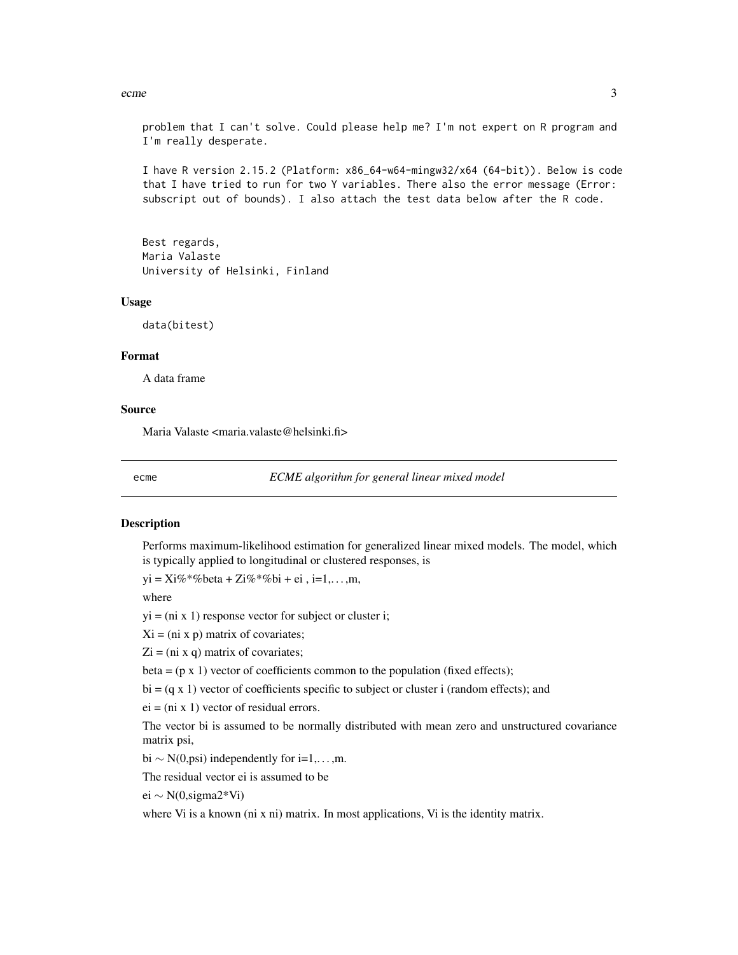<span id="page-2-0"></span>ecme 3

problem that I can't solve. Could please help me? I'm not expert on R program and I'm really desperate.

I have R version 2.15.2 (Platform: x86\_64-w64-mingw32/x64 (64-bit)). Below is code that I have tried to run for two Y variables. There also the error message (Error: subscript out of bounds). I also attach the test data below after the R code.

Best regards, Maria Valaste University of Helsinki, Finland

#### Usage

data(bitest)

#### Format

A data frame

### Source

Maria Valaste <maria.valaste@helsinki.fi>

ecme *ECME algorithm for general linear mixed model*

# **Description**

Performs maximum-likelihood estimation for generalized linear mixed models. The model, which is typically applied to longitudinal or clustered responses, is

 $yi = Xi\% * \% \text{beta} + Zi\% * \% \text{bi} + ei, i=1,...,m,$ 

where

 $yi = (ni x 1)$  response vector for subject or cluster i;

 $Xi = (ni x p)$  matrix of covariates;

 $Zi = (ni x q)$  matrix of covariates;

beta =  $(p \times 1)$  vector of coefficients common to the population (fixed effects);

 $bi = (q \times 1)$  vector of coefficients specific to subject or cluster i (random effects); and

 $ei = (ni \times 1)$  vector of residual errors.

The vector bi is assumed to be normally distributed with mean zero and unstructured covariance matrix psi,

bi  $\sim N(0, \text{psi})$  independently for i=1,...,m.

The residual vector ei is assumed to be

ei ∼ N(0,sigma2\*Vi)

where Vi is a known (ni x ni) matrix. In most applications, Vi is the identity matrix.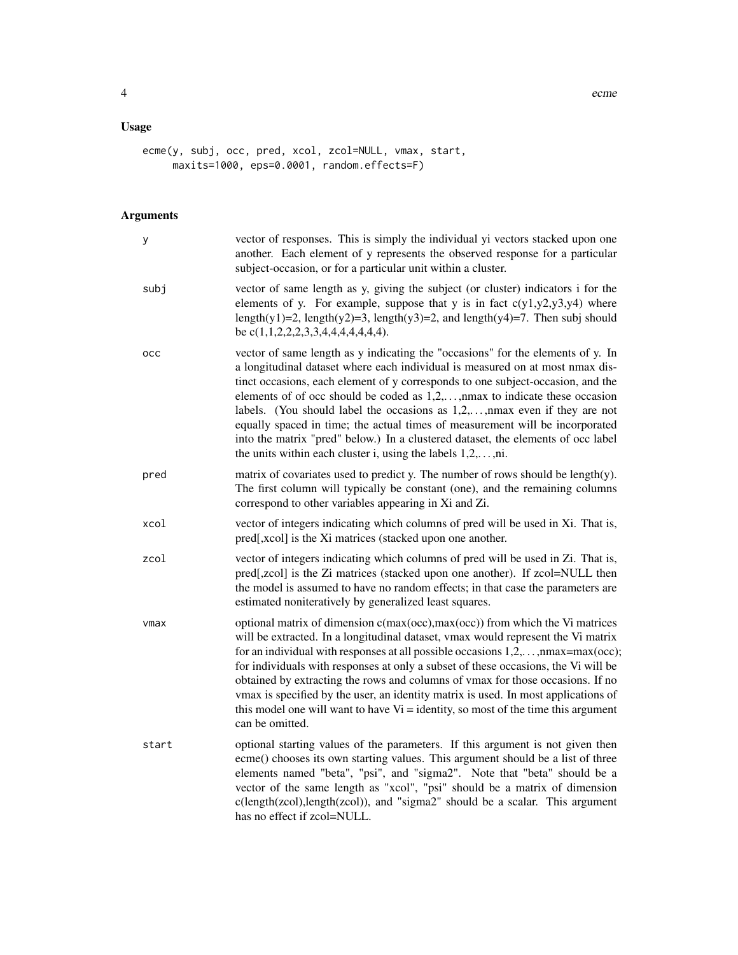# Usage

```
ecme(y, subj, occ, pred, xcol, zcol=NULL, vmax, start,
    maxits=1000, eps=0.0001, random.effects=F)
```
# Arguments

| У     | vector of responses. This is simply the individual yi vectors stacked upon one<br>another. Each element of y represents the observed response for a particular<br>subject-occasion, or for a particular unit within a cluster.                                                                                                                                                                                                                                                                                                                                                                                                                                  |
|-------|-----------------------------------------------------------------------------------------------------------------------------------------------------------------------------------------------------------------------------------------------------------------------------------------------------------------------------------------------------------------------------------------------------------------------------------------------------------------------------------------------------------------------------------------------------------------------------------------------------------------------------------------------------------------|
| subj  | vector of same length as y, giving the subject (or cluster) indicators i for the<br>elements of y. For example, suppose that y is in fact $c(y1,y2,y3,y4)$ where<br>length(y1)=2, length(y2)=3, length(y3)=2, and length(y4)=7. Then subj should<br>be $c(1,1,2,2,2,3,3,4,4,4,4,4,4,4).$                                                                                                                                                                                                                                                                                                                                                                        |
| occ   | vector of same length as y indicating the "occasions" for the elements of y. In<br>a longitudinal dataset where each individual is measured on at most nmax dis-<br>tinct occasions, each element of y corresponds to one subject-occasion, and the<br>elements of of occ should be coded as $1,2,,$ max to indicate these occasion<br>labels. (You should label the occasions as $1,2,,$ max even if they are not<br>equally spaced in time; the actual times of measurement will be incorporated<br>into the matrix "pred" below.) In a clustered dataset, the elements of occ label<br>the units within each cluster i, using the labels $1, 2, \ldots, n$ . |
| pred  | matrix of covariates used to predict y. The number of rows should be length(y).<br>The first column will typically be constant (one), and the remaining columns<br>correspond to other variables appearing in Xi and Zi.                                                                                                                                                                                                                                                                                                                                                                                                                                        |
| xcol  | vector of integers indicating which columns of pred will be used in Xi. That is,<br>pred[,xcol] is the Xi matrices (stacked upon one another.                                                                                                                                                                                                                                                                                                                                                                                                                                                                                                                   |
| zcol  | vector of integers indicating which columns of pred will be used in Zi. That is,<br>pred[,zcol] is the Zi matrices (stacked upon one another). If zcol=NULL then<br>the model is assumed to have no random effects; in that case the parameters are<br>estimated noniteratively by generalized least squares.                                                                                                                                                                                                                                                                                                                                                   |
| vmax  | optional matrix of dimension c(max(occ),max(occ)) from which the Vi matrices<br>will be extracted. In a longitudinal dataset, vmax would represent the Vi matrix<br>for an individual with responses at all possible occasions $1, 2, \ldots$ , nmax=max(occ);<br>for individuals with responses at only a subset of these occasions, the Vi will be<br>obtained by extracting the rows and columns of vmax for those occasions. If no<br>vmax is specified by the user, an identity matrix is used. In most applications of<br>this model one will want to have $Vi =$ identity, so most of the time this argument<br>can be omitted.                          |
| start | optional starting values of the parameters. If this argument is not given then<br>ecme() chooses its own starting values. This argument should be a list of three<br>elements named "beta", "psi", and "sigma2". Note that "beta" should be a<br>vector of the same length as "xcol", "psi" should be a matrix of dimension<br>c(length(zcol),length(zcol)), and "sigma2" should be a scalar. This argument<br>has no effect if zcol=NULL.                                                                                                                                                                                                                      |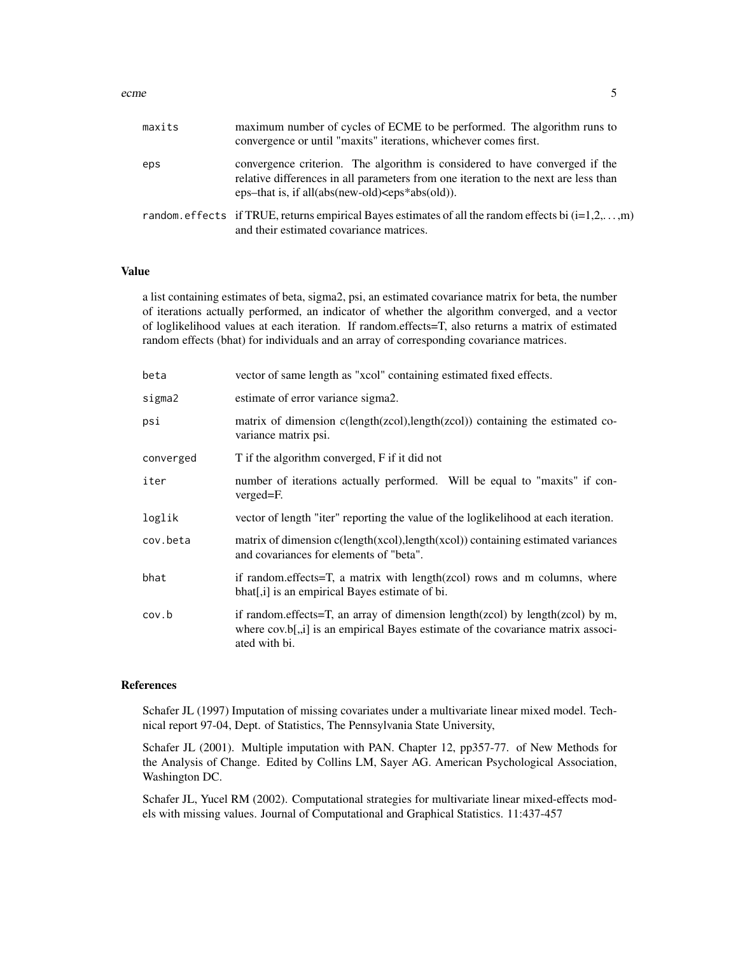| maxits | maximum number of cycles of ECME to be performed. The algorithm runs to<br>convergence or until "maxits" iterations, whichever comes first.                                                                                     |
|--------|---------------------------------------------------------------------------------------------------------------------------------------------------------------------------------------------------------------------------------|
| eps    | convergence criterion. The algorithm is considered to have converged if the<br>relative differences in all parameters from one iteration to the next are less than<br>eps-that is, if all(abs(new-old) $\langle$ eps*abs(old)). |
|        | random. effects if TRUE, returns empirical Bayes estimates of all the random effects bi $(i=1,2,\ldots,m)$<br>and their estimated covariance matrices.                                                                          |

# Value

a list containing estimates of beta, sigma2, psi, an estimated covariance matrix for beta, the number of iterations actually performed, an indicator of whether the algorithm converged, and a vector of loglikelihood values at each iteration. If random.effects=T, also returns a matrix of estimated random effects (bhat) for individuals and an array of corresponding covariance matrices.

| beta      | vector of same length as "xcol" containing estimated fixed effects.                                                                                                                |
|-----------|------------------------------------------------------------------------------------------------------------------------------------------------------------------------------------|
| sigma2    | estimate of error variance sigma2.                                                                                                                                                 |
| psi       | matrix of dimension c(length(zcol), length(zcol)) containing the estimated co-<br>variance matrix psi.                                                                             |
| converged | T if the algorithm converged, F if it did not                                                                                                                                      |
| iter      | number of iterations actually performed. Will be equal to "maxits" if con-<br>verged=F.                                                                                            |
| loglik    | vector of length "iter" reporting the value of the loglikelihood at each iteration.                                                                                                |
| cov.beta  | matrix of dimension $c(length(xcol), length(xcol))$ containing estimated variances<br>and covariances for elements of "beta".                                                      |
| bhat      | if random.effects=T, a matrix with length(zcol) rows and m columns, where<br>bhat[,i] is an empirical Bayes estimate of bi.                                                        |
| cov.b     | if random effects=T, an array of dimension length(zcol) by length(zcol) by m,<br>where cov.b[,,i] is an empirical Bayes estimate of the covariance matrix associ-<br>ated with bi. |

# References

Schafer JL (1997) Imputation of missing covariates under a multivariate linear mixed model. Technical report 97-04, Dept. of Statistics, The Pennsylvania State University,

Schafer JL (2001). Multiple imputation with PAN. Chapter 12, pp357-77. of New Methods for the Analysis of Change. Edited by Collins LM, Sayer AG. American Psychological Association, Washington DC.

Schafer JL, Yucel RM (2002). Computational strategies for multivariate linear mixed-effects models with missing values. Journal of Computational and Graphical Statistics. 11:437-457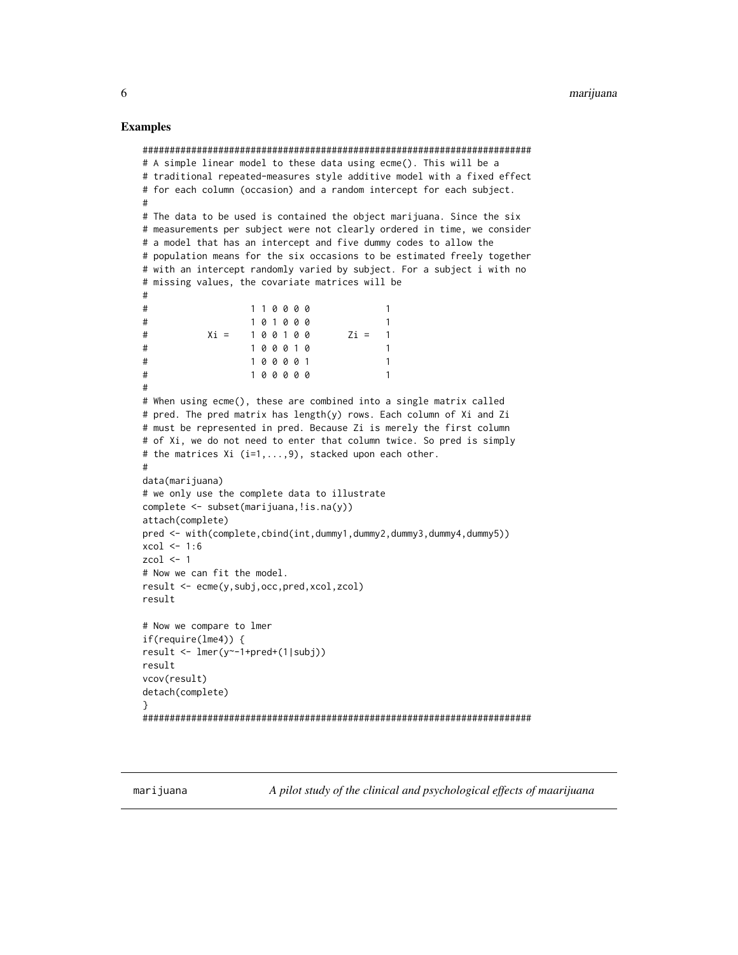#### <span id="page-5-0"></span>Examples

```
########################################################################
# A simple linear model to these data using ecme(). This will be a
# traditional repeated-measures style additive model with a fixed effect
# for each column (occasion) and a random intercept for each subject.
#
# The data to be used is contained the object marijuana. Since the six
# measurements per subject were not clearly ordered in time, we consider
# a model that has an intercept and five dummy codes to allow the
# population means for the six occasions to be estimated freely together
# with an intercept randomly varied by subject. For a subject i with no
# missing values, the covariate matrices will be
#
# 1 1 0 0 0 0 1
# 1 0 1 0 0 0 1
# Xi 7 1 0 0 1 0 0 Xi = 1
# 1 0 0 0 1 0 1
# 1 0 0 0 0 1 1
# 1 0 0 0 0 0 1
#
# When using ecme(), these are combined into a single matrix called
# pred. The pred matrix has length(y) rows. Each column of Xi and Zi
# must be represented in pred. Because Zi is merely the first column
# of Xi, we do not need to enter that column twice. So pred is simply
# the matrices Xi (i=1,...,9), stacked upon each other.
#
data(marijuana)
# we only use the complete data to illustrate
complete <- subset(marijuana, !is.na(y))
attach(complete)
pred <- with(complete,cbind(int,dummy1,dummy2,dummy3,dummy4,dummy5))
xcol \leftarrow 1:6zcol \leq 1
# Now we can fit the model.
result <- ecme(y,subj,occ,pred,xcol,zcol)
result
# Now we compare to lmer
if(require(lme4)) {
result \leq lmer(y \leq 1+pred + (1|subj))
result
vcov(result)
detach(complete)
}
########################################################################
```
marijuana *A pilot study of the clinical and psychological effects of maarijuana*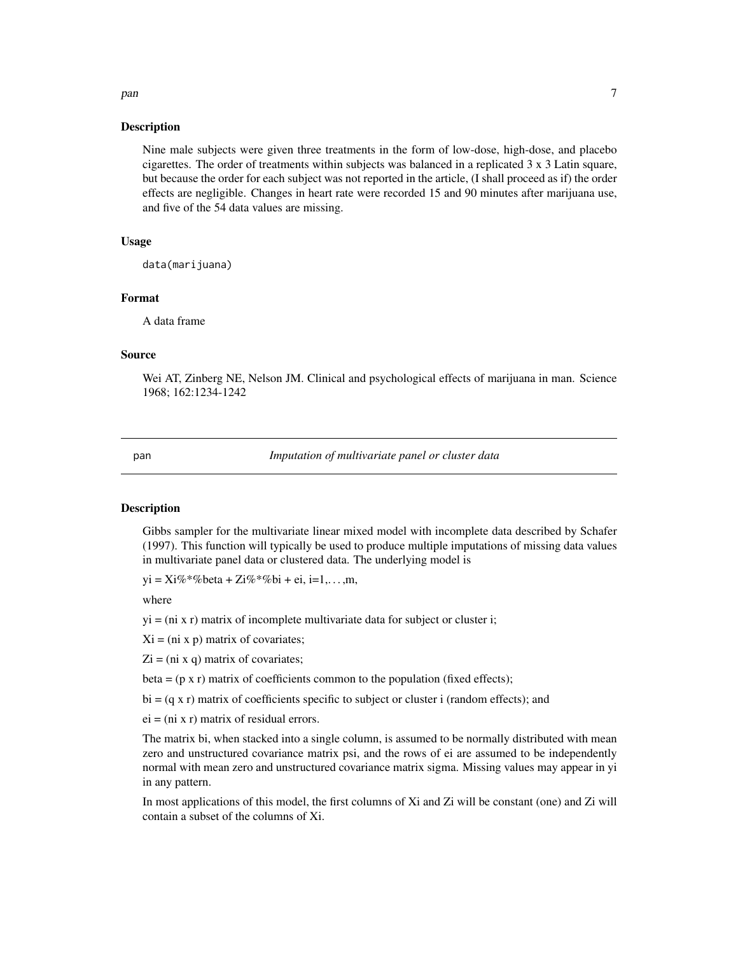# <span id="page-6-0"></span>Description

Nine male subjects were given three treatments in the form of low-dose, high-dose, and placebo cigarettes. The order of treatments within subjects was balanced in a replicated 3 x 3 Latin square, but because the order for each subject was not reported in the article, (I shall proceed as if) the order effects are negligible. Changes in heart rate were recorded 15 and 90 minutes after marijuana use, and five of the 54 data values are missing.

# Usage

data(marijuana)

#### Format

A data frame

#### Source

Wei AT, Zinberg NE, Nelson JM. Clinical and psychological effects of marijuana in man. Science 1968; 162:1234-1242

pan *Imputation of multivariate panel or cluster data*

#### Description

Gibbs sampler for the multivariate linear mixed model with incomplete data described by Schafer (1997). This function will typically be used to produce multiple imputations of missing data values in multivariate panel data or clustered data. The underlying model is

 $yi = Xi\% * \% \text{beta} + Zi\% * \% \text{bi} + ei, i=1,...,m,$ 

where

 $yi = (ni x r)$  matrix of incomplete multivariate data for subject or cluster i;

 $Xi = (ni x p)$  matrix of covariates;

 $Zi = (ni x q)$  matrix of covariates;

beta =  $(p \times r)$  matrix of coefficients common to the population (fixed effects);

 $bi = (q \times r)$  matrix of coefficients specific to subject or cluster i (random effects); and

 $ei = (ni x r)$  matrix of residual errors.

The matrix bi, when stacked into a single column, is assumed to be normally distributed with mean zero and unstructured covariance matrix psi, and the rows of ei are assumed to be independently normal with mean zero and unstructured covariance matrix sigma. Missing values may appear in yi in any pattern.

In most applications of this model, the first columns of Xi and Zi will be constant (one) and Zi will contain a subset of the columns of Xi.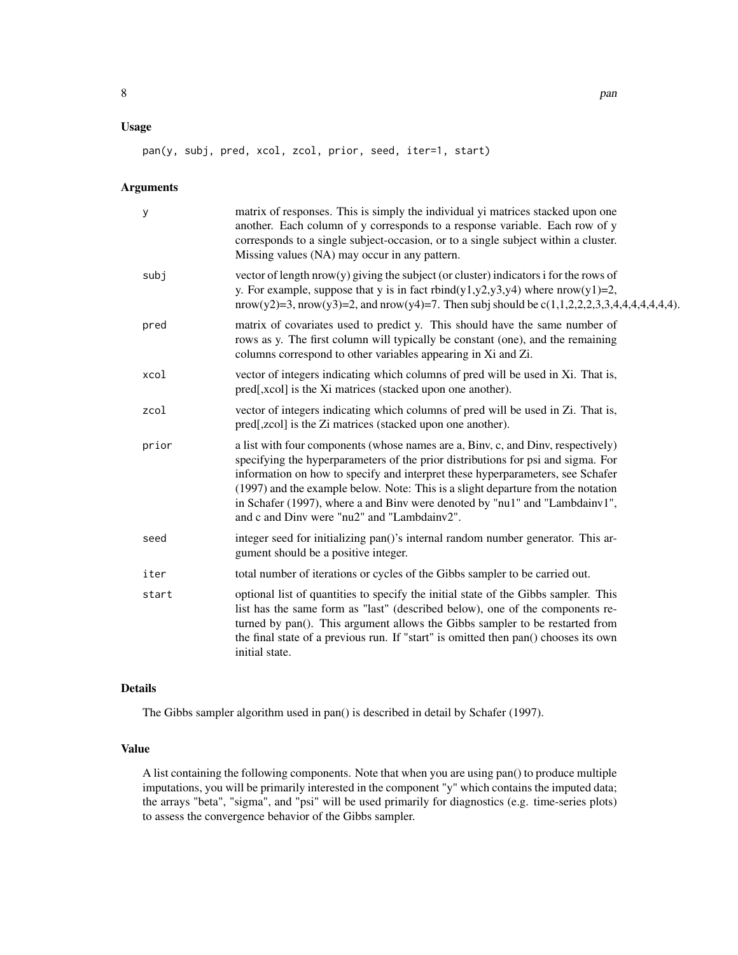# Usage

pan(y, subj, pred, xcol, zcol, prior, seed, iter=1, start)

# Arguments

| matrix of responses. This is simply the individual yi matrices stacked upon one<br>another. Each column of y corresponds to a response variable. Each row of y<br>corresponds to a single subject-occasion, or to a single subject within a cluster.<br>Missing values (NA) may occur in any pattern.                                                                                                                                                                    |
|--------------------------------------------------------------------------------------------------------------------------------------------------------------------------------------------------------------------------------------------------------------------------------------------------------------------------------------------------------------------------------------------------------------------------------------------------------------------------|
| vector of length $nrow(y)$ giving the subject (or cluster) indicators i for the rows of<br>y. For example, suppose that y is in fact rbind(y1,y2,y3,y4) where $nrow(y1)=2$ ,<br>nrow(y2)=3, nrow(y3)=2, and nrow(y4)=7. Then subj should be $c(1,1,2,2,2,3,3,4,4,4,4,4,4,4)$ .                                                                                                                                                                                           |
| matrix of covariates used to predict y. This should have the same number of<br>rows as y. The first column will typically be constant (one), and the remaining<br>columns correspond to other variables appearing in Xi and Zi.                                                                                                                                                                                                                                          |
| vector of integers indicating which columns of pred will be used in Xi. That is,<br>pred[,xcol] is the Xi matrices (stacked upon one another).                                                                                                                                                                                                                                                                                                                           |
| vector of integers indicating which columns of pred will be used in Zi. That is,<br>pred[,zcol] is the Zi matrices (stacked upon one another).                                                                                                                                                                                                                                                                                                                           |
| a list with four components (whose names are a, Biny, c, and Diny, respectively)<br>specifying the hyperparameters of the prior distributions for psi and sigma. For<br>information on how to specify and interpret these hyperparameters, see Schafer<br>(1997) and the example below. Note: This is a slight departure from the notation<br>in Schafer (1997), where a and Binv were denoted by "nu1" and "Lambdainv1",<br>and c and Dinv were "nu2" and "Lambdainv2". |
| integer seed for initializing pan()'s internal random number generator. This ar-<br>gument should be a positive integer.                                                                                                                                                                                                                                                                                                                                                 |
| total number of iterations or cycles of the Gibbs sampler to be carried out.                                                                                                                                                                                                                                                                                                                                                                                             |
| optional list of quantities to specify the initial state of the Gibbs sampler. This<br>list has the same form as "last" (described below), one of the components re-<br>turned by pan(). This argument allows the Gibbs sampler to be restarted from<br>the final state of a previous run. If "start" is omitted then pan() chooses its own<br>initial state.                                                                                                            |
|                                                                                                                                                                                                                                                                                                                                                                                                                                                                          |

# Details

The Gibbs sampler algorithm used in pan() is described in detail by Schafer (1997).

# Value

A list containing the following components. Note that when you are using pan() to produce multiple imputations, you will be primarily interested in the component "y" which contains the imputed data; the arrays "beta", "sigma", and "psi" will be used primarily for diagnostics (e.g. time-series plots) to assess the convergence behavior of the Gibbs sampler.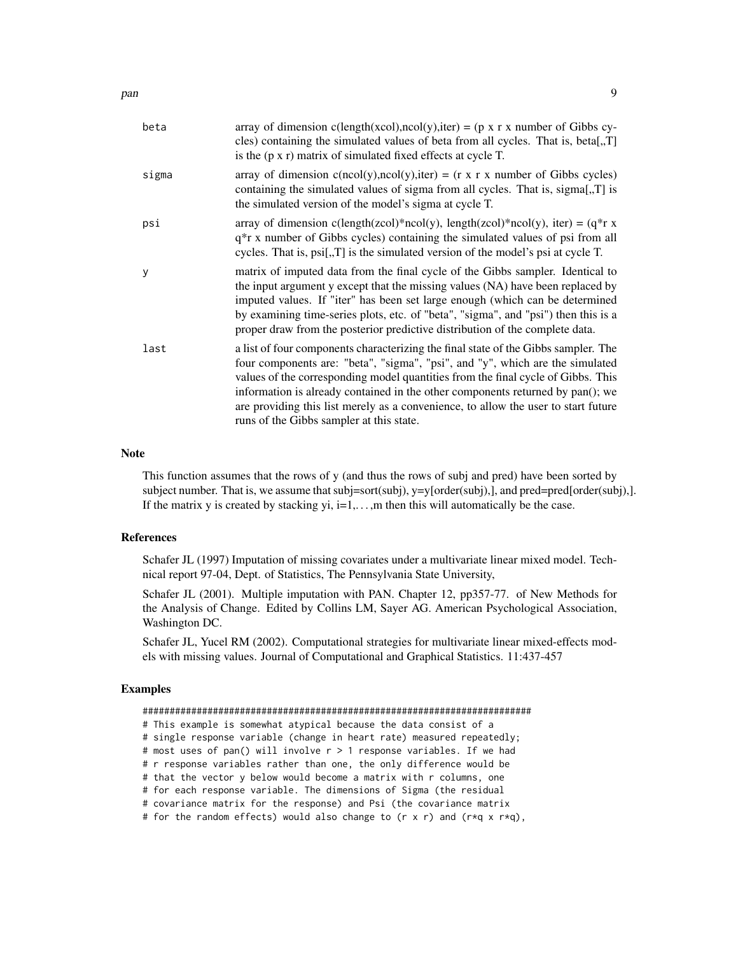| array of dimension c(length(xcol),ncol(y),iter) = (p x r x number of Gibbs cy-<br>cles) containing the simulated values of beta from all cycles. That is, beta[,,T]<br>is the $(p \times r)$ matrix of simulated fixed effects at cycle T.                                                                                                                                                                                                                                  |
|-----------------------------------------------------------------------------------------------------------------------------------------------------------------------------------------------------------------------------------------------------------------------------------------------------------------------------------------------------------------------------------------------------------------------------------------------------------------------------|
| array of dimension $c(ncol(y), ncol(y), iter) = (r \times r \times number of Gibbs cycles)$<br>containing the simulated values of sigma from all cycles. That is, sigma[,T] is<br>the simulated version of the model's sigma at cycle T.                                                                                                                                                                                                                                    |
| array of dimension c(length(zcol)*ncol(y), length(zcol)*ncol(y), iter) = $(q^*r x)$<br>q <sup>*</sup> r x number of Gibbs cycles) containing the simulated values of psi from all<br>cycles. That is, $psi, T$ is the simulated version of the model's psi at cycle T.                                                                                                                                                                                                      |
| matrix of imputed data from the final cycle of the Gibbs sampler. Identical to<br>the input argument y except that the missing values (NA) have been replaced by<br>imputed values. If "iter" has been set large enough (which can be determined<br>by examining time-series plots, etc. of "beta", "sigma", and "psi") then this is a<br>proper draw from the posterior predictive distribution of the complete data.                                                      |
| a list of four components characterizing the final state of the Gibbs sampler. The<br>four components are: "beta", "sigma", "psi", and "y", which are the simulated<br>values of the corresponding model quantities from the final cycle of Gibbs. This<br>information is already contained in the other components returned by pan(); we<br>are providing this list merely as a convenience, to allow the user to start future<br>runs of the Gibbs sampler at this state. |
|                                                                                                                                                                                                                                                                                                                                                                                                                                                                             |

# Note

This function assumes that the rows of y (and thus the rows of subj and pred) have been sorted by subject number. That is, we assume that subj=sort(subj), y=y[order(subj),], and pred=pred[order(subj),]. If the matrix y is created by stacking  $yi$ ,  $i=1,...,m$  then this will automatically be the case.

# References

Schafer JL (1997) Imputation of missing covariates under a multivariate linear mixed model. Technical report 97-04, Dept. of Statistics, The Pennsylvania State University,

Schafer JL (2001). Multiple imputation with PAN. Chapter 12, pp357-77. of New Methods for the Analysis of Change. Edited by Collins LM, Sayer AG. American Psychological Association, Washington DC.

Schafer JL, Yucel RM (2002). Computational strategies for multivariate linear mixed-effects models with missing values. Journal of Computational and Graphical Statistics. 11:437-457

# Examples

| # This example is somewhat atypical because the data consist of a                                  |
|----------------------------------------------------------------------------------------------------|
| # single response variable (change in heart rate) measured repeatedly;                             |
| # most uses of pan() will involve $r > 1$ response variables. If we had                            |
| # r response variables rather than one, the only difference would be                               |
| # that the vector y below would become a matrix with r columns, one                                |
| # for each response variable. The dimensions of Sigma (the residual                                |
| # covariance matrix for the response) and Psi (the covariance matrix                               |
| # for the random effects) would also change to $(r \times r)$ and $(r \star q \times r \star q)$ , |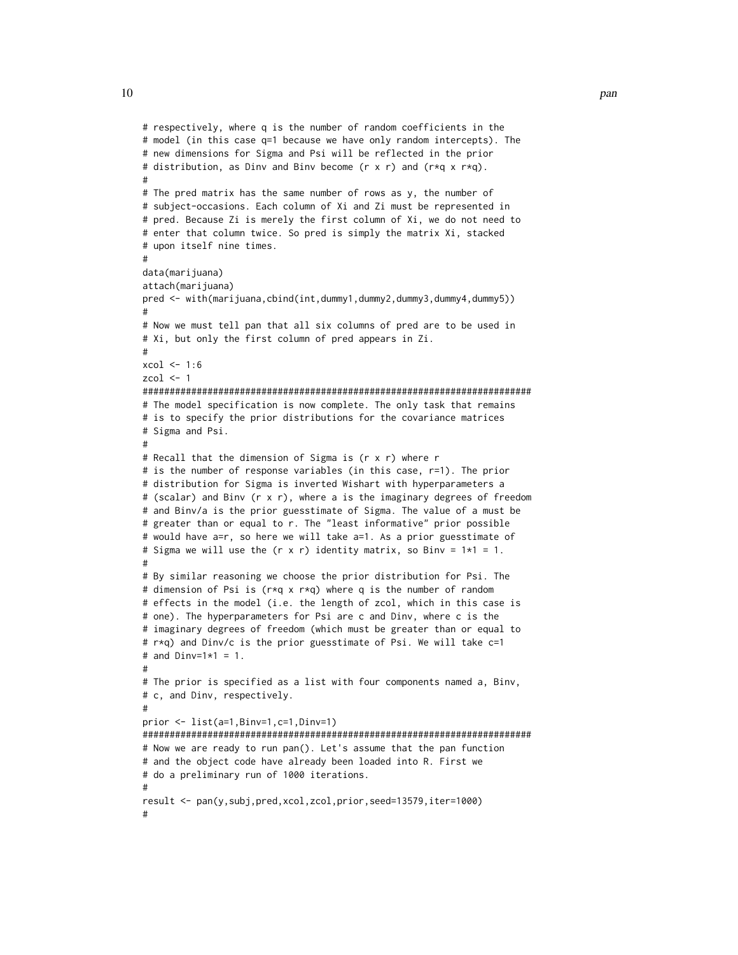```
# respectively, where q is the number of random coefficients in the
# model (in this case q=1 because we have only random intercepts). The
# new dimensions for Sigma and Psi will be reflected in the prior
# distribution, as Dinv and Binv become (r x r) and (r*q x r*q).
#
# The pred matrix has the same number of rows as y, the number of
# subject-occasions. Each column of Xi and Zi must be represented in
# pred. Because Zi is merely the first column of Xi, we do not need to
# enter that column twice. So pred is simply the matrix Xi, stacked
# upon itself nine times.
#
data(marijuana)
attach(marijuana)
pred <- with(marijuana,cbind(int,dummy1,dummy2,dummy3,dummy4,dummy5))
#
# Now we must tell pan that all six columns of pred are to be used in
# Xi, but only the first column of pred appears in Zi.
#
xcol < -1:6zcol <-1########################################################################
# The model specification is now complete. The only task that remains
# is to specify the prior distributions for the covariance matrices
# Sigma and Psi.
#
# Recall that the dimension of Sigma is (r x r) where r
# is the number of response variables (in this case, r=1). The prior
# distribution for Sigma is inverted Wishart with hyperparameters a
# (scalar) and Binv (r x r), where a is the imaginary degrees of freedom
# and Binv/a is the prior guesstimate of Sigma. The value of a must be
# greater than or equal to r. The "least informative" prior possible
# would have a=r, so here we will take a=1. As a prior guesstimate of
# Sigma we will use the (r \times r) identity matrix, so Binv = 1*1 = 1.
#
# By similar reasoning we choose the prior distribution for Psi. The
# dimension of Psi is (r*q x r*q) where q is the number of random
# effects in the model (i.e. the length of zcol, which in this case is
# one). The hyperparameters for Psi are c and Dinv, where c is the
# imaginary degrees of freedom (which must be greater than or equal to
# r*q) and Dinv/c is the prior guesstimate of Psi. We will take c=1
# and Dinv=1*1 = 1.
#
# The prior is specified as a list with four components named a, Binv,
# c, and Dinv, respectively.
#
prior <- list(a=1,Binv=1,c=1,Dinv=1)
########################################################################
# Now we are ready to run pan(). Let's assume that the pan function
# and the object code have already been loaded into R. First we
# do a preliminary run of 1000 iterations.
#
result <- pan(y,subj,pred,xcol,zcol,prior,seed=13579,iter=1000)
#
```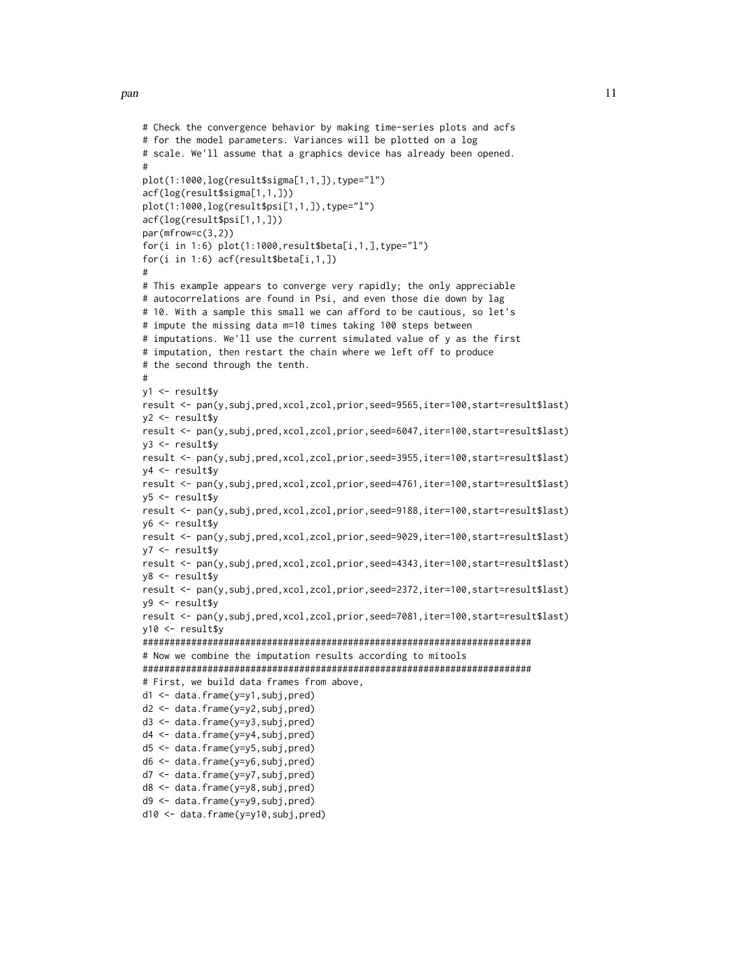```
# Check the convergence behavior by making time-series plots and acfs
# for the model parameters. Variances will be plotted on a log
# scale. We'll assume that a graphics device has already been opened.
#
plot(1:1000,log(result$sigma[1,1,]),type="l")
acf(log(result$sigma[1,1,]))
plot(1:1000,log(result$psi[1,1,]),type="l")
acf(log(result$psi[1,1,]))
par(mfrow=c(3,2))
for(i in 1:6) plot(1:1000, result$beta[i,1,],type="1")for(i in 1:6) acf(result$beta[i,1,])
#
# This example appears to converge very rapidly; the only appreciable
# autocorrelations are found in Psi, and even those die down by lag
# 10. With a sample this small we can afford to be cautious, so let's
# impute the missing data m=10 times taking 100 steps between
# imputations. We'll use the current simulated value of y as the first
# imputation, then restart the chain where we left off to produce
# the second through the tenth.
#
y1 <- result$y
result <- pan(y,subj,pred,xcol,zcol,prior,seed=9565,iter=100,start=result$last)
y2 <- result$y
result <- pan(y,subj,pred,xcol,zcol,prior,seed=6047,iter=100,start=result$last)
y3 <- result$y
result <- pan(y,subj,pred,xcol,zcol,prior,seed=3955,iter=100,start=result$last)
y4 <- result$y
result <- pan(y,subj,pred,xcol,zcol,prior,seed=4761,iter=100,start=result$last)
y5 <- result$y
result <- pan(y,subj,pred,xcol,zcol,prior,seed=9188,iter=100,start=result$last)
y6 <- result$y
result <- pan(y,subj,pred,xcol,zcol,prior,seed=9029,iter=100,start=result$last)
y7 <- result$y
result <- pan(y,subj,pred,xcol,zcol,prior,seed=4343,iter=100,start=result$last)
y8 <- result$y
result <- pan(y,subj,pred,xcol,zcol,prior,seed=2372,iter=100,start=result$last)
y9 <- result$y
result <- pan(y,subj,pred,xcol,zcol,prior,seed=7081,iter=100,start=result$last)
y10 <- result$y
########################################################################
# Now we combine the imputation results according to mitools
########################################################################
# First, we build data frames from above,
d1 <- data.frame(y=y1,subj,pred)
d2 <- data.frame(y=y2,subj,pred)
d3 <- data.frame(y=y3,subj,pred)
d4 <- data.frame(y=y4,subj,pred)
d5 <- data.frame(y=y5,subj,pred)
d6 <- data.frame(y=y6,subj,pred)
d7 <- data.frame(y=y7,subj,pred)
d8 <- data.frame(y=y8,subj,pred)
d9 <- data.frame(y=y9,subj,pred)
d10 <- data.frame(y=y10,subj,pred)
```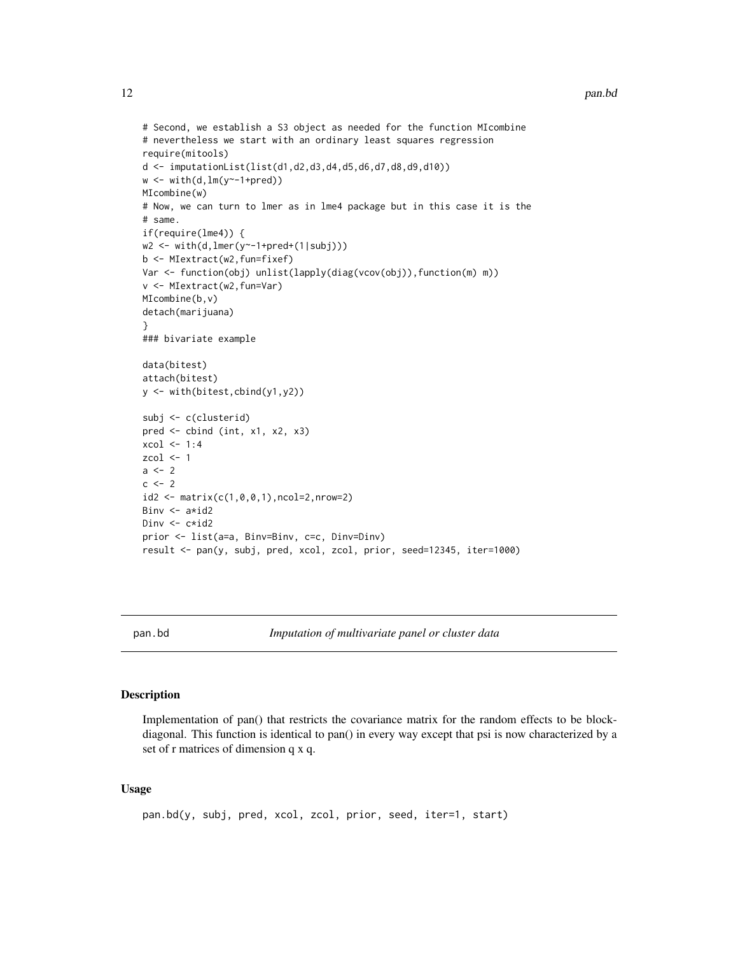#### 12 pan.bd

```
# Second, we establish a S3 object as needed for the function MIcombine
# nevertheless we start with an ordinary least squares regression
require(mitools)
d <- imputationList(list(d1,d2,d3,d4,d5,d6,d7,d8,d9,d10))
w \leftarrow \text{with}(d, lm(y \sim -1 + pred))MIcombine(w)
# Now, we can turn to lmer as in lme4 package but in this case it is the
# same.
if(require(lme4)) {
w2 <- with(d,lmer(y~-1+pred+(1|subj)))
b <- MIextract(w2,fun=fixef)
Var <- function(obj) unlist(lapply(diag(vcov(obj)),function(m) m))
v <- MIextract(w2,fun=Var)
MIcombine(b,v)
detach(marijuana)
}
### bivariate example
data(bitest)
attach(bitest)
y <- with(bitest,cbind(y1,y2))
subj <- c(clusterid)
pred <- cbind (int, x1, x2, x3)
xcol < -1:4zcol <- 1
a < - 2c < - 2id2 <- matrix(c(1,0,0,1),ncol=2,nrow=2)
Binv <- a*id2
Dinv <- c*id2
prior <- list(a=a, Binv=Binv, c=c, Dinv=Dinv)
result <- pan(y, subj, pred, xcol, zcol, prior, seed=12345, iter=1000)
```
pan.bd *Imputation of multivariate panel or cluster data*

# Description

Implementation of pan() that restricts the covariance matrix for the random effects to be blockdiagonal. This function is identical to pan() in every way except that psi is now characterized by a set of r matrices of dimension q x q.

# Usage

```
pan.bd(y, subj, pred, xcol, zcol, prior, seed, iter=1, start)
```
<span id="page-11-0"></span>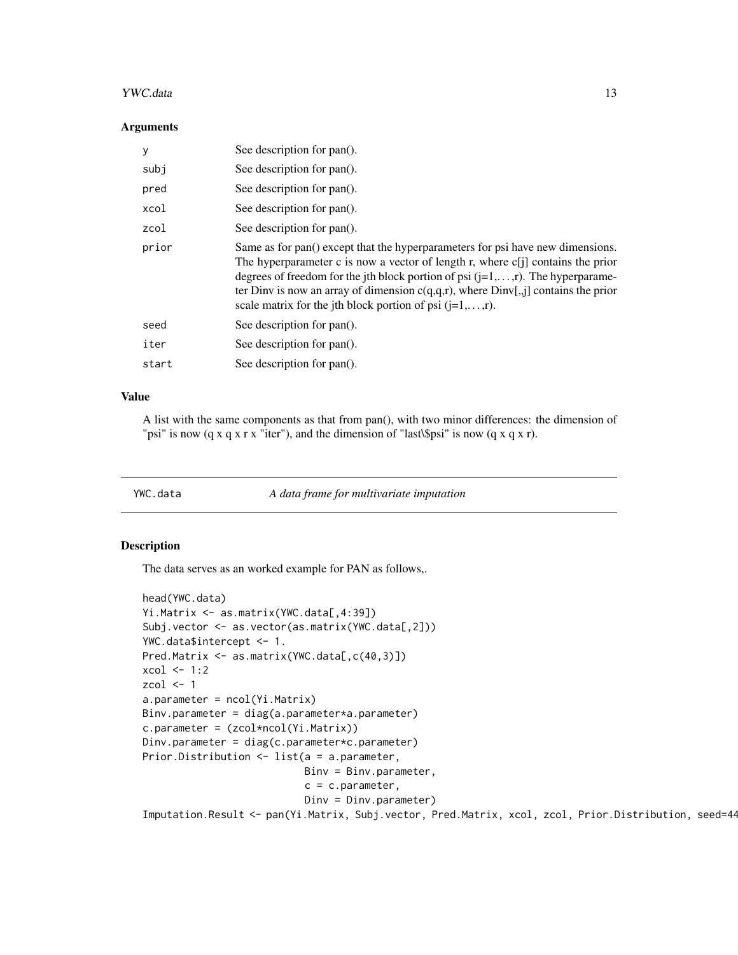### <span id="page-12-0"></span>YWC.data 13

### **Arguments**

| y     | See description for pan().                                                                                                                                                                                                                                                                                                                                                                                     |
|-------|----------------------------------------------------------------------------------------------------------------------------------------------------------------------------------------------------------------------------------------------------------------------------------------------------------------------------------------------------------------------------------------------------------------|
| subj  | See description for pan().                                                                                                                                                                                                                                                                                                                                                                                     |
| pred  | See description for pan().                                                                                                                                                                                                                                                                                                                                                                                     |
| xcol  | See description for pan().                                                                                                                                                                                                                                                                                                                                                                                     |
| zcol  | See description for pan().                                                                                                                                                                                                                                                                                                                                                                                     |
| prior | Same as for pan() except that the hyperparameters for psi have new dimensions.<br>The hyperparameter c is now a vector of length r, where c[j] contains the prior<br>degrees of freedom for the jth block portion of psi $(j=1,,r)$ . The hyperparame-<br>ter Dinv is now an array of dimension $c(q,q,r)$ , where $Dim[j,j]$ contains the prior<br>scale matrix for the jth block portion of psi $(i=1,,r)$ . |
| seed  | See description for pan().                                                                                                                                                                                                                                                                                                                                                                                     |
| iter  | See description for pan().                                                                                                                                                                                                                                                                                                                                                                                     |
| start | See description for pan().                                                                                                                                                                                                                                                                                                                                                                                     |
|       |                                                                                                                                                                                                                                                                                                                                                                                                                |

# Value

A list with the same components as that from pan(), with two minor differences: the dimension of "psi" is now (q x q x r x "iter"), and the dimension of "last\\$psi" is now (q x q x r).

YWC.data *A data frame for multivariate imputation*

# Description

The data serves as an worked example for PAN as follows,.

```
head(YWC.data)
Yi.Matrix <- as.matrix(YWC.data[,4:39])
Subj.vector <- as.vector(as.matrix(YWC.data[,2]))
YWC.data$intercept <- 1.
Pred.Matrix <- as.matrix(YWC.data[,c(40,3)])
xcol < -1:2zcol <-1a.parameter = ncol(Yi.Matrix)
Binv.parameter = diag(a.parameter*a.parameter)
c.parameter = (zcol*ncol(Yi.Matrix))
Dinv.parameter = diag(c.parameter*c.parameter)
Prior.Distribution <- list(a = a.parameter,
                          Binv = Binv.parameter,
                           c = c.parameter,Dinv = Dinv.parameter)
Imputation.Result <- pan(Yi.Matrix, Subj.vector, Pred.Matrix, xcol, zcol, Prior.Distribution, seed=44
```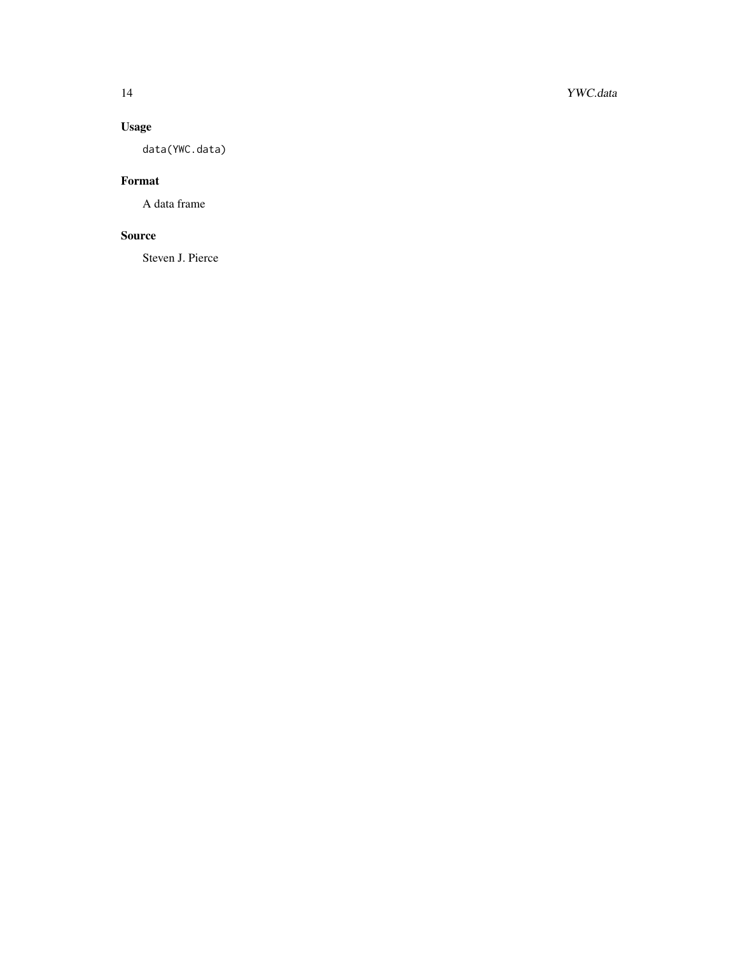# Usage

data(YWC.data)

# Format

A data frame

# Source

Steven J. Pierce